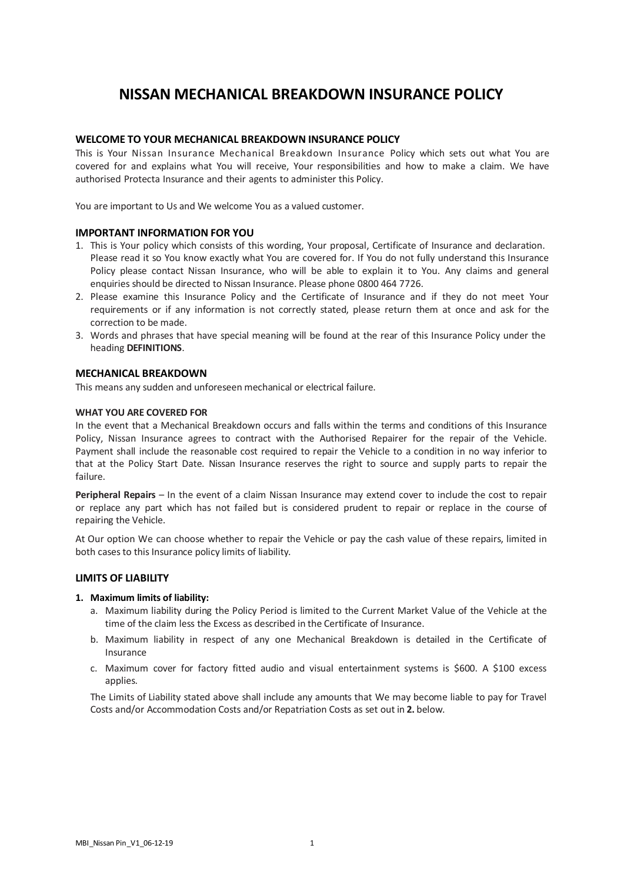# **NISSAN MECHANICAL BREAKDOWN INSURANCE POLICY**

## **WELCOME TO YOUR MECHANICAL BREAKDOWN INSURANCE POLICY**

This is Your Nissan Insurance Mechanical Breakdown Insurance Policy which sets out what You are covered for and explains what You will receive, Your responsibilities and how to make a claim. We have authorised Protecta Insurance and their agents to administer this Policy.

You are important to Us and We welcome You as a valued customer.

## **IMPORTANT INFORMATION FOR YOU**

- 1. This is Your policy which consists of this wording, Your proposal, Certificate of Insurance and declaration. Please read it so You know exactly what You are covered for. If You do not fully understand this Insurance Policy please contact Nissan Insurance, who will be able to explain it to You. Any claims and general enquiries should be directed to Nissan Insurance. Please phone 0800 464 7726.
- 2. Please examine this Insurance Policy and the Certificate of Insurance and if they do not meet Your requirements or if any information is not correctly stated, please return them at once and ask for the correction to be made.
- 3. Words and phrases that have special meaning will be found at the rear of this Insurance Policy under the heading **DEFINITIONS**.

## **MECHANICAL BREAKDOWN**

This means any sudden and unforeseen mechanical or electrical failure.

## **WHAT YOU ARE COVERED FOR**

In the event that a Mechanical Breakdown occurs and falls within the terms and conditions of this Insurance Policy, Nissan Insurance agrees to contract with the Authorised Repairer for the repair of the Vehicle. Payment shall include the reasonable cost required to repair the Vehicle to a condition in no way inferior to that at the Policy Start Date. Nissan Insurance reserves the right to source and supply parts to repair the failure.

**Peripheral Repairs** – In the event of a claim Nissan Insurance may extend cover to include the cost to repair or replace any part which has not failed but is considered prudent to repair or replace in the course of repairing the Vehicle.

At Our option We can choose whether to repair the Vehicle or pay the cash value of these repairs, limited in both cases to this Insurance policy limits of liability.

## **LIMITS OF LIABILITY**

#### **1. Maximum limits of liability:**

- a. Maximum liability during the Policy Period is limited to the Current Market Value of the Vehicle at the time of the claim less the Excess as described in the Certificate of Insurance.
- b. Maximum liability in respect of any one Mechanical Breakdown is detailed in the Certificate of Insurance
- c. Maximum cover for factory fitted audio and visual entertainment systems is \$600. A \$100 excess applies.

The Limits of Liability stated above shall include any amounts that We may become liable to pay for Travel Costs and/or Accommodation Costs and/or Repatriation Costs as set out in **2.** below.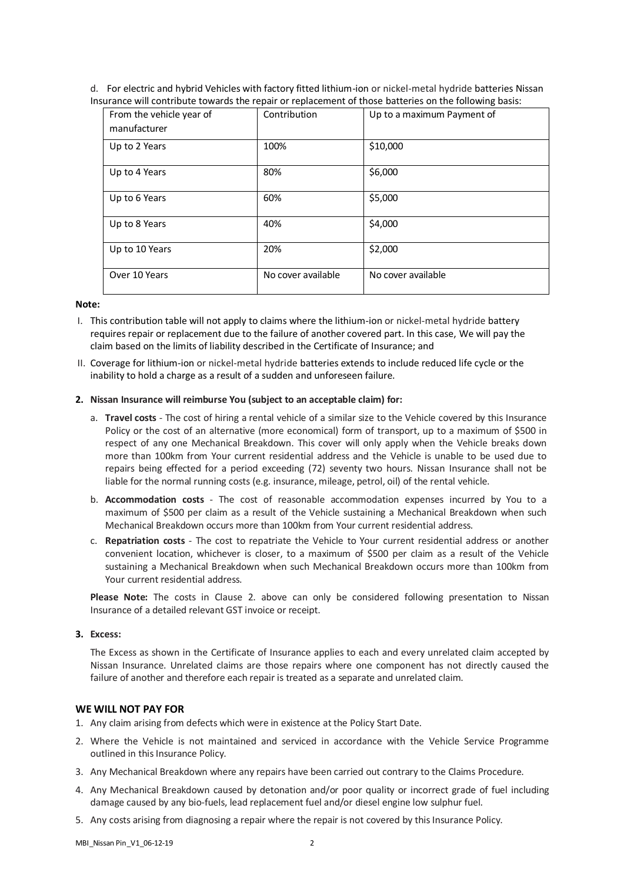d. For electric and hybrid Vehicles with factory fitted lithium-ion or nickel-metal hydride batteries Nissan Insurance will contribute towards the repair or replacement of those batteries on the following basis:

| From the vehicle year of<br>manufacturer | Contribution       | Up to a maximum Payment of |
|------------------------------------------|--------------------|----------------------------|
| Up to 2 Years                            | 100%               | \$10,000                   |
| Up to 4 Years                            | 80%                | \$6,000                    |
| Up to 6 Years                            | 60%                | \$5,000                    |
| Up to 8 Years                            | 40%                | \$4,000                    |
| Up to 10 Years                           | 20%                | \$2,000                    |
| Over 10 Years                            | No cover available | No cover available         |

#### **Note:**

- I. This contribution table will not apply to claims where the lithium-ion or nickel-metal hydride battery requires repair or replacement due to the failure of another covered part. In this case, We will pay the claim based on the limits of liability described in the Certificate of Insurance; and
- II. Coverage for lithium-ion or nickel-metal hydride batteries extends to include reduced life cycle or the inability to hold a charge as a result of a sudden and unforeseen failure.

#### **2. Nissan Insurance will reimburse You (subject to an acceptable claim) for:**

- a. **Travel costs** The cost of hiring a rental vehicle of a similar size to the Vehicle covered by this Insurance Policy or the cost of an alternative (more economical) form of transport, up to a maximum of \$500 in respect of any one Mechanical Breakdown. This cover will only apply when the Vehicle breaks down more than 100km from Your current residential address and the Vehicle is unable to be used due to repairs being effected for a period exceeding (72) seventy two hours. Nissan Insurance shall not be liable for the normal running costs (e.g. insurance, mileage, petrol, oil) of the rental vehicle.
- b. **Accommodation costs** The cost of reasonable accommodation expenses incurred by You to a maximum of \$500 per claim as a result of the Vehicle sustaining a Mechanical Breakdown when such Mechanical Breakdown occurs more than 100km from Your current residential address.
- c. **Repatriation costs** The cost to repatriate the Vehicle to Your current residential address or another convenient location, whichever is closer, to a maximum of \$500 per claim as a result of the Vehicle sustaining a Mechanical Breakdown when such Mechanical Breakdown occurs more than 100km from Your current residential address.

**Please Note:** The costs in Clause 2. above can only be considered following presentation to Nissan Insurance of a detailed relevant GST invoice or receipt.

#### **3. Excess:**

The Excess as shown in the Certificate of Insurance applies to each and every unrelated claim accepted by Nissan Insurance. Unrelated claims are those repairs where one component has not directly caused the failure of another and therefore each repair is treated as a separate and unrelated claim.

#### **WE WILL NOT PAY FOR**

- 1. Any claim arising from defects which were in existence at the Policy Start Date.
- 2. Where the Vehicle is not maintained and serviced in accordance with the Vehicle Service Programme outlined in this Insurance Policy.
- 3. Any Mechanical Breakdown where any repairs have been carried out contrary to the Claims Procedure.
- 4. Any Mechanical Breakdown caused by detonation and/or poor quality or incorrect grade of fuel including damage caused by any bio-fuels, lead replacement fuel and/or diesel engine low sulphur fuel.
- 5. Any costs arising from diagnosing a repair where the repair is not covered by this Insurance Policy.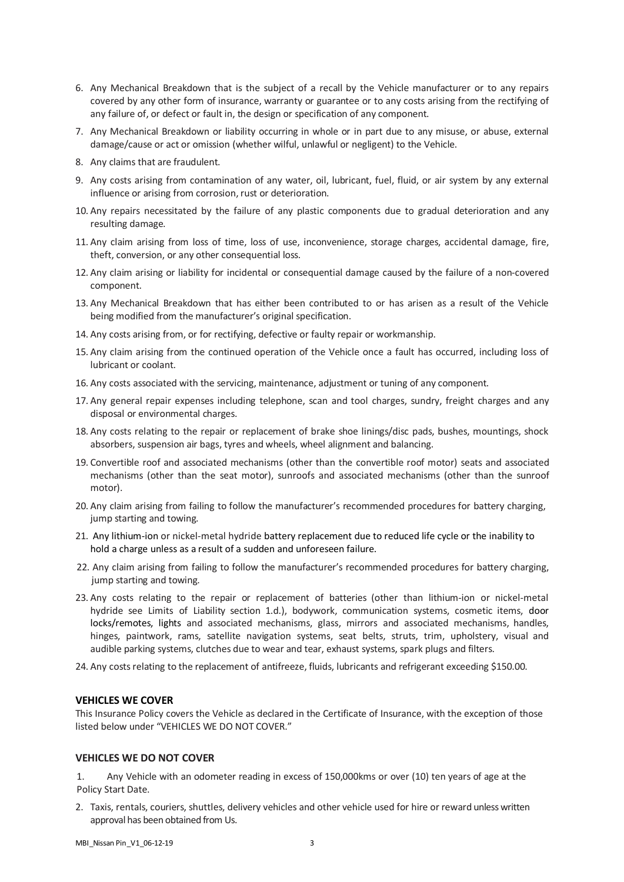- 6. Any Mechanical Breakdown that is the subject of a recall by the Vehicle manufacturer or to any repairs covered by any other form of insurance, warranty or guarantee or to any costs arising from the rectifying of any failure of, or defect or fault in, the design or specification of any component.
- 7. Any Mechanical Breakdown or liability occurring in whole or in part due to any misuse, or abuse, external damage/cause or act or omission (whether wilful, unlawful or negligent) to the Vehicle.
- 8. Any claims that are fraudulent.
- 9. Any costs arising from contamination of any water, oil, lubricant, fuel, fluid, or air system by any external influence or arising from corrosion, rust or deterioration.
- 10. Any repairs necessitated by the failure of any plastic components due to gradual deterioration and any resulting damage.
- 11. Any claim arising from loss of time, loss of use, inconvenience, storage charges, accidental damage, fire, theft, conversion, or any other consequential loss.
- 12. Any claim arising or liability for incidental or consequential damage caused by the failure of a non-covered component.
- 13. Any Mechanical Breakdown that has either been contributed to or has arisen as a result of the Vehicle being modified from the manufacturer's original specification.
- 14. Any costs arising from, or for rectifying, defective or faulty repair or workmanship.
- 15. Any claim arising from the continued operation of the Vehicle once a fault has occurred, including loss of lubricant or coolant.
- 16. Any costs associated with the servicing, maintenance, adjustment or tuning of any component.
- 17. Any general repair expenses including telephone, scan and tool charges, sundry, freight charges and any disposal or environmental charges.
- 18. Any costs relating to the repair or replacement of brake shoe linings/disc pads, bushes, mountings, shock absorbers, suspension air bags, tyres and wheels, wheel alignment and balancing.
- 19. Convertible roof and associated mechanisms (other than the convertible roof motor) seats and associated mechanisms (other than the seat motor), sunroofs and associated mechanisms (other than the sunroof motor).
- 20. Any claim arising from failing to follow the manufacturer's recommended procedures for battery charging, jump starting and towing.
- 21. Any lithium-ion or nickel-metal hydride battery replacement due to reduced life cycle or the inability to hold a charge unless as a result of a sudden and unforeseen failure.
- 22. Any claim arising from failing to follow the manufacturer's recommended procedures for battery charging, jump starting and towing.
- 23. Any costs relating to the repair or replacement of batteries (other than lithium-ion or nickel-metal hydride see Limits of Liability section 1.d.), bodywork, communication systems, cosmetic items, door locks/remotes, lights and associated mechanisms, glass, mirrors and associated mechanisms, handles, hinges, paintwork, rams, satellite navigation systems, seat belts, struts, trim, upholstery, visual and audible parking systems, clutches due to wear and tear, exhaust systems, spark plugs and filters.
- 24. Any costs relating to the replacement of antifreeze, fluids, lubricants and refrigerant exceeding \$150.00.

## **VEHICLES WE COVER**

This Insurance Policy covers the Vehicle as declared in the Certificate of Insurance, with the exception of those listed below under "VEHICLES WE DO NOT COVER."

## **VEHICLES WE DO NOT COVER**

1. Any Vehicle with an odometer reading in excess of 150,000kms or over (10) ten years of age at the Policy Start Date.

2. Taxis, rentals, couriers, shuttles, delivery vehicles and other vehicle used for hire or reward unless written approval has been obtained from Us.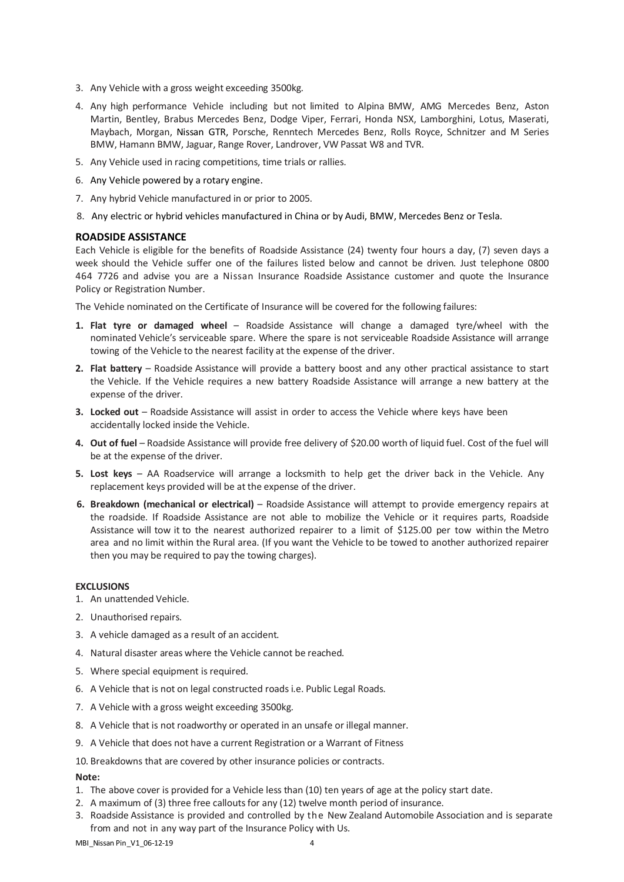- 3. Any Vehicle with a gross weight exceeding 3500kg.
- 4. Any high performance Vehicle including but not limited to Alpina BMW, AMG Mercedes Benz, Aston Martin, Bentley, Brabus Mercedes Benz, Dodge Viper, Ferrari, Honda NSX, Lamborghini, Lotus, Maserati, Maybach, Morgan, Nissan GTR, Porsche, Renntech Mercedes Benz, Rolls Royce, Schnitzer and M Series BMW, Hamann BMW, Jaguar, Range Rover, Landrover, VW Passat W8 and TVR.
- 5. Any Vehicle used in racing competitions, time trials or rallies.
- 6. Any Vehicle powered by a rotary engine.
- 7. Any hybrid Vehicle manufactured in or prior to 2005.
- 8. Any electric or hybrid vehicles manufactured in China or by Audi, BMW, Mercedes Benz or Tesla.

## **ROADSIDE ASSISTANCE**

Each Vehicle is eligible for the benefits of Roadside Assistance (24) twenty four hours a day, (7) seven days a week should the Vehicle suffer one of the failures listed below and cannot be driven. Just telephone 0800 464 7726 and advise you are a Nissan Insurance Roadside Assistance customer and quote the Insurance Policy or Registration Number.

The Vehicle nominated on the Certificate of Insurance will be covered for the following failures:

- **1. Flat tyre or damaged wheel** Roadside Assistance will change a damaged tyre/wheel with the nominated Vehicle's serviceable spare. Where the spare is not serviceable Roadside Assistance will arrange towing of the Vehicle to the nearest facility at the expense of the driver.
- **2. Flat battery** Roadside Assistance will provide a battery boost and any other practical assistance to start the Vehicle. If the Vehicle requires a new battery Roadside Assistance will arrange a new battery at the expense of the driver.
- **3. Locked out** Roadside Assistance will assist in order to access the Vehicle where keys have been accidentally locked inside the Vehicle.
- **4. Out of fuel** Roadside Assistance will provide free delivery of \$20.00 worth of liquid fuel. Cost of the fuel will be at the expense of the driver.
- **5. Lost keys**  AA Roadservice will arrange a locksmith to help get the driver back in the Vehicle. Any replacement keys provided will be at the expense of the driver.
- **6. Breakdown (mechanical or electrical)** Roadside Assistance will attempt to provide emergency repairs at the roadside. If Roadside Assistance are not able to mobilize the Vehicle or it requires parts, Roadside Assistance will tow it to the nearest authorized repairer to a limit of \$125.00 per tow within the Metro area and no limit within the Rural area. (If you want the Vehicle to be towed to another authorized repairer then you may be required to pay the towing charges).

#### **EXCLUSIONS**

- 1. An unattended Vehicle.
- 2. Unauthorised repairs.
- 3. A vehicle damaged as a result of an accident.
- 4. Natural disaster areas where the Vehicle cannot be reached.
- 5. Where special equipment is required.
- 6. A Vehicle that is not on legal constructed roads i.e. Public Legal Roads.
- 7. A Vehicle with a gross weight exceeding 3500kg.
- 8. A Vehicle that is not roadworthy or operated in an unsafe or illegal manner.
- 9. A Vehicle that does not have a current Registration or a Warrant of Fitness

10. Breakdowns that are covered by other insurance policies or contracts.

## **Note:**

- 1. The above cover is provided for a Vehicle less than (10) ten years of age at the policy start date.
- 2. A maximum of (3) three free calloutsfor any (12) twelve month period of insurance.
- 3. Roadside Assistance is provided and controlled by the New Zealand Automobile Association and is separate from and not in any way part of the Insurance Policy with Us.

MBI\_Nissan Pin\_V1\_06-12-19 4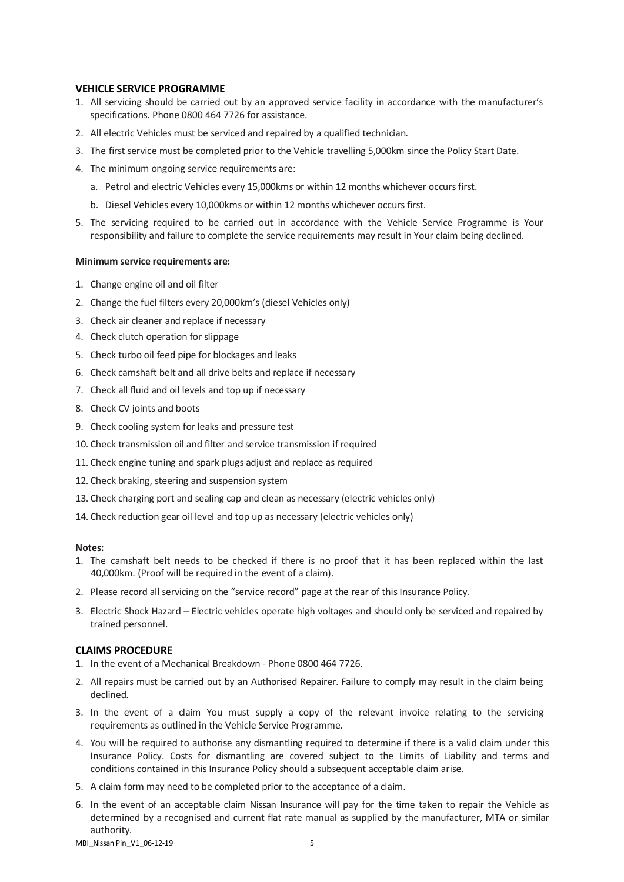## **VEHICLE SERVICE PROGRAMME**

- 1. All servicing should be carried out by an approved service facility in accordance with the manufacturer's specifications. Phone 0800 464 7726 for assistance.
- 2. All electric Vehicles must be serviced and repaired by a qualified technician.
- 3. The first service must be completed prior to the Vehicle travelling 5,000km since the Policy Start Date.
- 4. The minimum ongoing service requirements are:
	- a. Petrol and electric Vehicles every 15,000kms or within 12 months whichever occurs first.
	- b. Diesel Vehicles every 10,000kms or within 12 months whichever occurs first.
- 5. The servicing required to be carried out in accordance with the Vehicle Service Programme is Your responsibility and failure to complete the service requirements may result in Your claim being declined.

#### **Minimum service requirements are:**

- 1. Change engine oil and oil filter
- 2. Change the fuel filters every 20,000km's (diesel Vehicles only)
- 3. Check air cleaner and replace if necessary
- 4. Check clutch operation for slippage
- 5. Check turbo oil feed pipe for blockages and leaks
- 6. Check camshaft belt and all drive belts and replace if necessary
- 7. Check all fluid and oil levels and top up if necessary
- 8. Check CV joints and boots
- 9. Check cooling system for leaks and pressure test
- 10. Check transmission oil and filter and service transmission if required
- 11. Check engine tuning and spark plugs adjust and replace as required
- 12. Check braking, steering and suspension system
- 13. Check charging port and sealing cap and clean as necessary (electric vehicles only)
- 14. Check reduction gear oil level and top up as necessary (electric vehicles only)

### **Notes:**

- 1. The camshaft belt needs to be checked if there is no proof that it has been replaced within the last 40,000km. (Proof will be required in the event of a claim).
- 2. Please record all servicing on the "service record" page at the rear of this Insurance Policy.
- 3. Electric Shock Hazard Electric vehicles operate high voltages and should only be serviced and repaired by trained personnel.

## **CLAIMS PROCEDURE**

- 1. In the event of a Mechanical Breakdown Phone 0800 464 7726.
- 2. All repairs must be carried out by an Authorised Repairer. Failure to comply may result in the claim being declined.
- 3. In the event of a claim You must supply a copy of the relevant invoice relating to the servicing requirements as outlined in the Vehicle Service Programme.
- 4. You will be required to authorise any dismantling required to determine if there is a valid claim under this Insurance Policy. Costs for dismantling are covered subject to the Limits of Liability and terms and conditions contained in this Insurance Policy should a subsequent acceptable claim arise.
- 5. A claim form may need to be completed prior to the acceptance of a claim.
- 6. In the event of an acceptable claim Nissan Insurance will pay for the time taken to repair the Vehicle as determined by a recognised and current flat rate manual as supplied by the manufacturer, MTA or similar authority.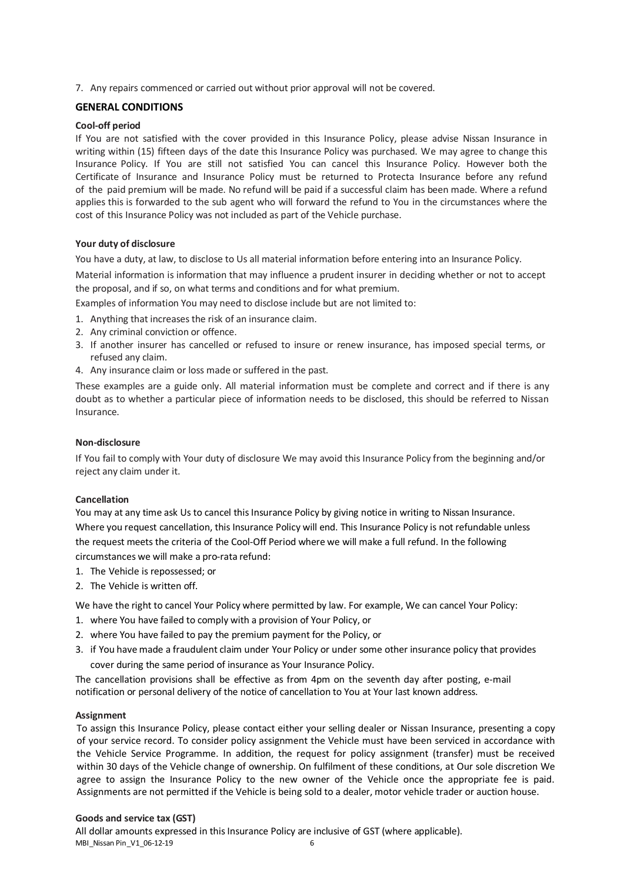7. Any repairs commenced or carried out without prior approval will not be covered.

## **GENERAL CONDITIONS**

## **Cool-off period**

If You are not satisfied with the cover provided in this Insurance Policy, please advise Nissan Insurance in writing within (15) fifteen days of the date this Insurance Policy was purchased. We may agree to change this Insurance Policy. If You are still not satisfied You can cancel this Insurance Policy. However both the Certificate of Insurance and Insurance Policy must be returned to Protecta Insurance before any refund of the paid premium will be made. No refund will be paid if a successful claim has been made. Where a refund applies this is forwarded to the sub agent who will forward the refund to You in the circumstances where the cost of this Insurance Policy was not included as part of the Vehicle purchase.

## **Your duty of disclosure**

You have a duty, at law, to disclose to Us all material information before entering into an Insurance Policy.

Material information is information that may influence a prudent insurer in deciding whether or not to accept the proposal, and if so, on what terms and conditions and for what premium.

Examples of information You may need to disclose include but are not limited to:

- 1. Anything that increases the risk of an insurance claim.
- 2. Any criminal conviction or offence.
- 3. If another insurer has cancelled or refused to insure or renew insurance, has imposed special terms, or refused any claim.
- 4. Any insurance claim or loss made or suffered in the past.

These examples are a guide only. All material information must be complete and correct and if there is any doubt as to whether a particular piece of information needs to be disclosed, this should be referred to Nissan Insurance.

## **Non-disclosure**

If You fail to comply with Your duty of disclosure We may avoid this Insurance Policy from the beginning and/or reject any claim under it.

## **Cancellation**

You may at any time ask Us to cancel this Insurance Policy by giving notice in writing to Nissan Insurance. Where you request cancellation, this Insurance Policy will end. This Insurance Policy is not refundable unless the request meets the criteria of the Cool-Off Period where we will make a full refund. In the following circumstances we will make a pro-rata refund:

- 1. The Vehicle is repossessed; or
- 2. The Vehicle is written off.

We have the right to cancel Your Policy where permitted by law. For example, We can cancel Your Policy:

- 1. where You have failed to comply with a provision of Your Policy, or
- 2. where You have failed to pay the premium payment for the Policy, or
- 3. if You have made a fraudulent claim under Your Policy or under some other insurance policy that provides cover during the same period of insurance as Your Insurance Policy.

The cancellation provisions shall be effective as from 4pm on the seventh day after posting, e-mail notification or personal delivery of the notice of cancellation to You at Your last known address.

## **Assignment**

To assign this Insurance Policy, please contact either your selling dealer or Nissan Insurance, presenting a copy of your service record. To consider policy assignment the Vehicle must have been serviced in accordance with the Vehicle Service Programme. In addition, the request for policy assignment (transfer) must be received within 30 days of the Vehicle change of ownership. On fulfilment of these conditions, at Our sole discretion We agree to assign the Insurance Policy to the new owner of the Vehicle once the appropriate fee is paid. Assignments are not permitted if the Vehicle is being sold to a dealer, motor vehicle trader or auction house.

## **Goods and service tax (GST)**

MBI\_Nissan Pin\_V1\_06-12-19 6 All dollar amounts expressed in this Insurance Policy are inclusive of GST (where applicable).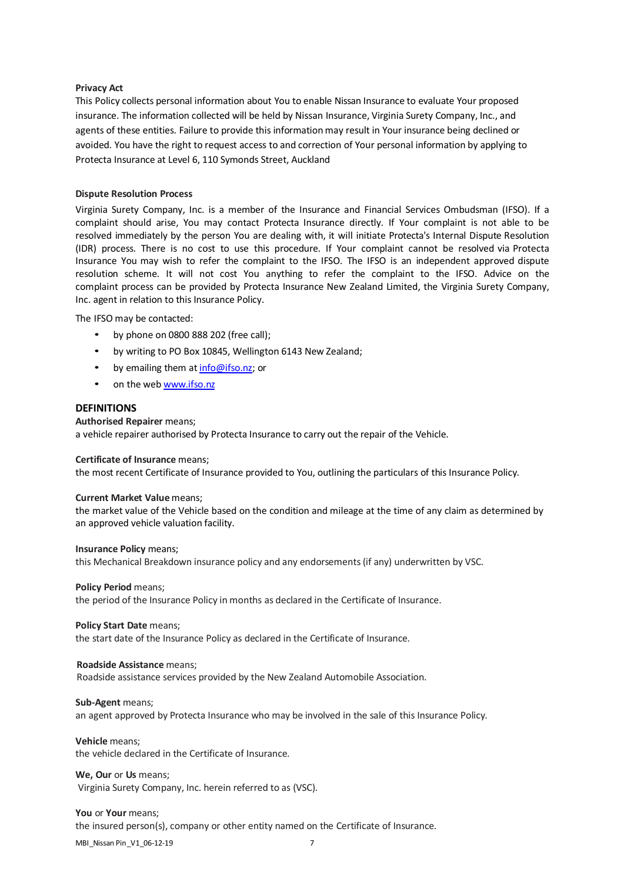#### **Privacy Act**

This Policy collects personal information about You to enable Nissan Insurance to evaluate Your proposed insurance. The information collected will be held by Nissan Insurance, Virginia Surety Company, Inc., and agents of these entities. Failure to provide this information may result in Your insurance being declined or avoided. You have the right to request access to and correction of Your personal information by applying to Protecta Insurance at Level 6, 110 Symonds Street, Auckland

## **Dispute Resolution Process**

Virginia Surety Company, Inc. is a member of the Insurance and Financial Services Ombudsman (IFSO). If a complaint should arise, You may contact Protecta Insurance directly. If Your complaint is not able to be resolved immediately by the person You are dealing with, it will initiate Protecta's Internal Dispute Resolution (IDR) process. There is no cost to use this procedure. If Your complaint cannot be resolved via Protecta Insurance You may wish to refer the complaint to the IFSO. The IFSO is an independent approved dispute resolution scheme. It will not cost You anything to refer the complaint to the IFSO. Advice on the complaint process can be provided by Protecta Insurance New Zealand Limited, the Virginia Surety Company, Inc. agent in relation to this Insurance Policy.

The IFSO may be contacted:

- by phone on 0800 888 202 (free call);
- by writing to PO Box 10845, Wellington 6143 New Zealand;
- by emailing them at [info@ifso.nz;](mailto:info@ifso.nz) or
- on the web [www.ifso.nz](http://www.ifso.nz/)

## **DEFINITIONS**

## **Authorised Repairer** means;

a vehicle repairer authorised by Protecta Insurance to carry out the repair of the Vehicle.

#### **Certificate of Insurance** means;

the most recent Certificate of Insurance provided to You, outlining the particulars of this Insurance Policy.

#### **Current Market Value** means;

the market value of the Vehicle based on the condition and mileage at the time of any claim as determined by an approved vehicle valuation facility.

## **Insurance Policy** means; this Mechanical Breakdown insurance policy and any endorsements(if any) underwritten by VSC.

#### **Policy Period** means;

the period of the Insurance Policy in months as declared in the Certificate of Insurance.

#### **Policy Start Date** means;

the start date of the Insurance Policy as declared in the Certificate of Insurance.

#### **Roadside Assistance** means;

Roadside assistance services provided by the New Zealand Automobile Association.

#### **Sub-Agent** means;

an agent approved by Protecta Insurance who may be involved in the sale of this Insurance Policy.

**Vehicle** means; the vehicle declared in the Certificate of Insurance.

# **We, Our** or **Us** means;

Virginia Surety Company, Inc. herein referred to as (VSC).

**You** or **Your** means; the insured person(s), company or other entity named on the Certificate of Insurance.

MBI\_Nissan Pin\_V1\_06-12-19 7